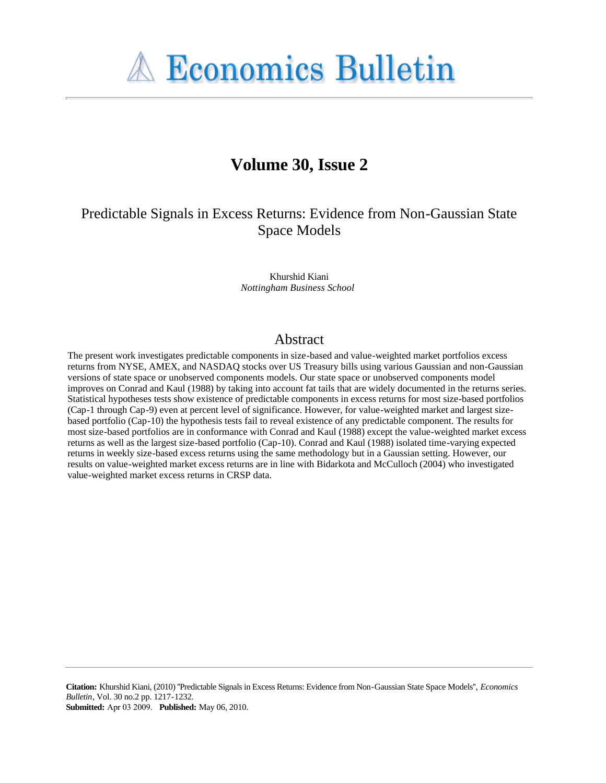

# **Volume 30, Issue 2**

## Predictable Signals in Excess Returns: Evidence from Non-Gaussian State Space Models

Khurshid Kiani *Nottingham Business School*

## Abstract

The present work investigates predictable components in size-based and value-weighted market portfolios excess returns from NYSE, AMEX, and NASDAQ stocks over US Treasury bills using various Gaussian and non-Gaussian versions of state space or unobserved components models. Our state space or unobserved components model improves on Conrad and Kaul (1988) by taking into account fat tails that are widely documented in the returns series. Statistical hypotheses tests show existence of predictable components in excess returns for most size-based portfolios (Cap-1 through Cap-9) even at percent level of significance. However, for value-weighted market and largest sizebased portfolio (Cap-10) the hypothesis tests fail to reveal existence of any predictable component. The results for most size-based portfolios are in conformance with Conrad and Kaul (1988) except the value-weighted market excess returns as well as the largest size-based portfolio (Cap-10). Conrad and Kaul (1988) isolated time-varying expected returns in weekly size-based excess returns using the same methodology but in a Gaussian setting. However, our results on value-weighted market excess returns are in line with Bidarkota and McCulloch (2004) who investigated value-weighted market excess returns in CRSP data.

**Citation:** Khurshid Kiani, (2010) ''Predictable Signals in Excess Returns: Evidence from Non-Gaussian State Space Models'', *Economics Bulletin*, Vol. 30 no.2 pp. 1217-1232. **Submitted:** Apr 03 2009. **Published:** May 06, 2010.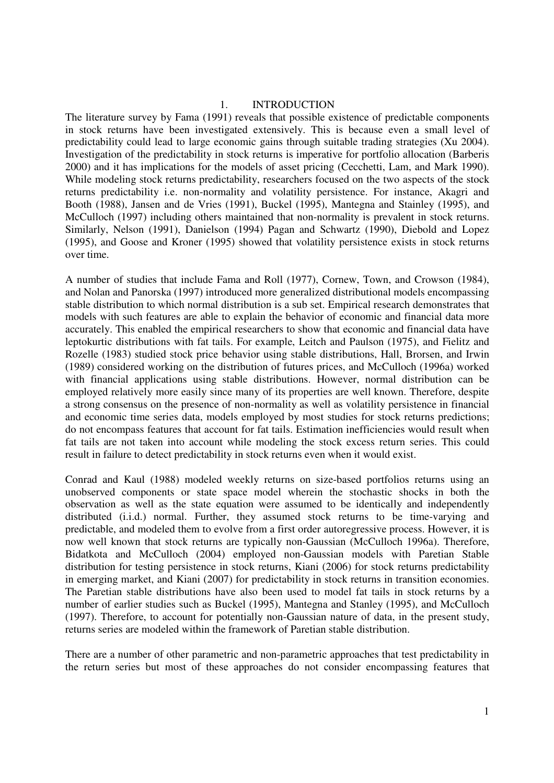#### 1. INTRODUCTION

The literature survey by Fama (1991) reveals that possible existence of predictable components in stock returns have been investigated extensively. This is because even a small level of predictability could lead to large economic gains through suitable trading strategies (Xu 2004). Investigation of the predictability in stock returns is imperative for portfolio allocation (Barberis 2000) and it has implications for the models of asset pricing (Cecchetti, Lam, and Mark 1990). While modeling stock returns predictability, researchers focused on the two aspects of the stock returns predictability i.e. non-normality and volatility persistence. For instance, Akagri and Booth (1988), Jansen and de Vries (1991), Buckel (1995), Mantegna and Stainley (1995), and McCulloch (1997) including others maintained that non-normality is prevalent in stock returns. Similarly, Nelson (1991), Danielson (1994) Pagan and Schwartz (1990), Diebold and Lopez (1995), and Goose and Kroner (1995) showed that volatility persistence exists in stock returns over time.

A number of studies that include Fama and Roll (1977), Cornew, Town, and Crowson (1984), and Nolan and Panorska (1997) introduced more generalized distributional models encompassing stable distribution to which normal distribution is a sub set. Empirical research demonstrates that models with such features are able to explain the behavior of economic and financial data more accurately. This enabled the empirical researchers to show that economic and financial data have leptokurtic distributions with fat tails. For example, Leitch and Paulson (1975), and Fielitz and Rozelle (1983) studied stock price behavior using stable distributions, Hall, Brorsen, and Irwin (1989) considered working on the distribution of futures prices, and McCulloch (1996a) worked with financial applications using stable distributions. However, normal distribution can be employed relatively more easily since many of its properties are well known. Therefore, despite a strong consensus on the presence of non-normality as well as volatility persistence in financial and economic time series data, models employed by most studies for stock returns predictions; do not encompass features that account for fat tails. Estimation inefficiencies would result when fat tails are not taken into account while modeling the stock excess return series. This could result in failure to detect predictability in stock returns even when it would exist.

Conrad and Kaul (1988) modeled weekly returns on size-based portfolios returns using an unobserved components or state space model wherein the stochastic shocks in both the observation as well as the state equation were assumed to be identically and independently distributed (i.i.d.) normal. Further, they assumed stock returns to be time-varying and predictable, and modeled them to evolve from a first order autoregressive process. However, it is now well known that stock returns are typically non-Gaussian (McCulloch 1996a). Therefore, Bidatkota and McCulloch (2004) employed non-Gaussian models with Paretian Stable distribution for testing persistence in stock returns, Kiani (2006) for stock returns predictability in emerging market, and Kiani (2007) for predictability in stock returns in transition economies. The Paretian stable distributions have also been used to model fat tails in stock returns by a number of earlier studies such as Buckel (1995), Mantegna and Stanley (1995), and McCulloch (1997). Therefore, to account for potentially non-Gaussian nature of data, in the present study, returns series are modeled within the framework of Paretian stable distribution.

There are a number of other parametric and non-parametric approaches that test predictability in the return series but most of these approaches do not consider encompassing features that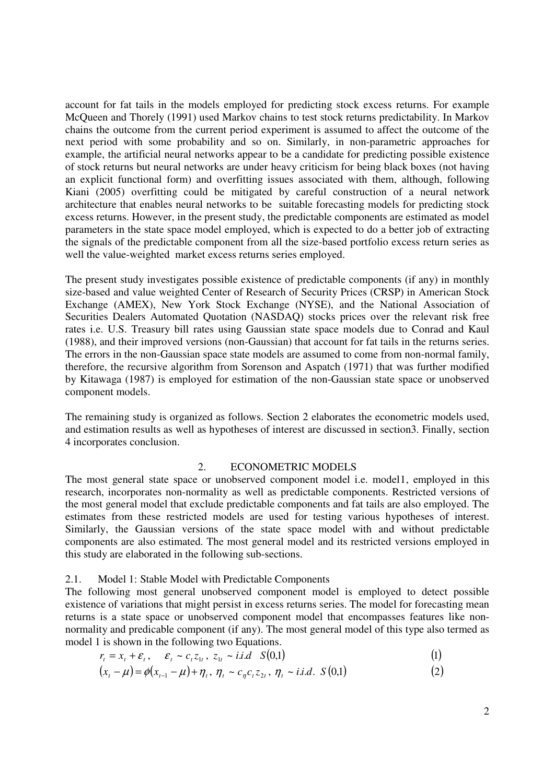account for fat tails in the models employed for predicting stock excess returns. For example McQueen and Thorely (1991) used Markov chains to test stock returns predictability. In Markov chains the outcome from the current period experiment is assumed to affect the outcome of the next period with some probability and so on. Similarly, in non-parametric approaches for example, the artificial neural networks appear to be a candidate for predicting possible existence of stock returns but neural networks are under heavy criticism for being black boxes (not having an explicit functional form) and overfitting issues associated with them, although, following Kiani (2005) overfitting could be mitigated by careful construction of a neural network architecture that enables neural networks to be suitable forecasting models for predicting stock excess returns. However, in the present study, the predictable components are estimated as model parameters in the state space model employed, which is expected to do a better job of extracting the signals of the predictable component from all the size-based portfolio excess return series as well the value-weighted market excess returns series employed.

The present study investigates possible existence of predictable components (if any) in monthly size-based and value weighted Center of Research of Security Prices (CRSP) in American Stock Exchange (AMEX), New York Stock Exchange (NYSE), and the National Association of Securities Dealers Automated Quotation (NASDAQ) stocks prices over the relevant risk free rates i.e. U.S. Treasury bill rates using Gaussian state space models due to Conrad and Kaul (1988), and their improved versions (non-Gaussian) that account for fat tails in the returns series. The errors in the non-Gaussian space state models are assumed to come from non-normal family, therefore, the recursive algorithm from Sorenson and Aspatch (1971) that was further modified by Kitawaga (1987) is employed for estimation of the non-Gaussian state space or unobserved component models.

The remaining study is organized as follows. Section 2 elaborates the econometric models used, and estimation results as well as hypotheses of interest are discussed in section3. Finally, section 4 incorporates conclusion.

#### 2. ECONOMETRIC MODELS

The most general state space or unobserved component model i.e. model1, employed in this research, incorporates non-normality as well as predictable components. Restricted versions of the most general model that exclude predictable components and fat tails are also employed. The estimates from these restricted models are used for testing various hypotheses of interest. Similarly, the Gaussian versions of the state space model with and without predictable components are also estimated. The most general model and its restricted versions employed in this study are elaborated in the following sub-sections.

#### 2.1. Model 1: Stable Model with Predictable Components

The following most general unobserved component model is employed to detect possible existence of variations that might persist in excess returns series. The model for forecasting mean returns is a state space or unobserved component model that encompasses features like nonnormality and predicable component (if any). The most general model of this type also termed as model 1 is shown in the following two Equations.

$$
r_{t} = x_{t} + \varepsilon_{t}, \quad \varepsilon_{t} \sim c_{t} z_{1t}, \ z_{1t} \sim i.i.d \quad S(0,1) \tag{1}
$$

$$
(x_{t} - \mu) = \phi(x_{t-1} - \mu) + \eta_{t}, \ \eta_{t} \sim c_{\eta} c_{t} z_{2t}, \ \eta_{t} \sim i.i.d. \ S(0,1)
$$
 (2)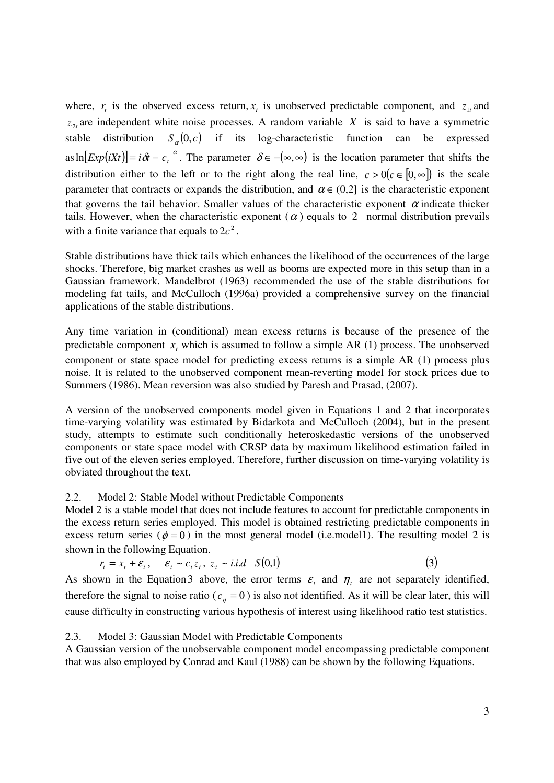where,  $r_t$  is the observed excess return,  $x_t$  is unobserved predictable component, and  $z_{1t}$  and  $z_{2t}$  are independent white noise processes. A random variable *X* is said to have a symmetric stable distribution  $S_{\alpha}(0, c)$  if its log-characteristic function can be expressed as  $\ln \left[ Exp(iXt) \right] = i \delta t - \left| c_t \right|^{\alpha}$ . The parameter  $\delta \in -(\infty, \infty)$  is the location parameter that shifts the distribution either to the left or to the right along the real line,  $c > 0$  ( $c \in [0, \infty]$ ) is the scale parameter that contracts or expands the distribution, and  $\alpha \in (0,2]$  is the characteristic exponent that governs the tail behavior. Smaller values of the characteristic exponent  $\alpha$  indicate thicker tails. However, when the characteristic exponent  $\alpha$  ) equals to 2 normal distribution prevails with a finite variance that equals to  $2c^2$ .

Stable distributions have thick tails which enhances the likelihood of the occurrences of the large shocks. Therefore, big market crashes as well as booms are expected more in this setup than in a Gaussian framework. Mandelbrot (1963) recommended the use of the stable distributions for modeling fat tails, and McCulloch (1996a) provided a comprehensive survey on the financial applications of the stable distributions.

Any time variation in (conditional) mean excess returns is because of the presence of the predictable component  $x<sub>t</sub>$  which is assumed to follow a simple AR (1) process. The unobserved component or state space model for predicting excess returns is a simple AR (1) process plus noise. It is related to the unobserved component mean-reverting model for stock prices due to Summers (1986). Mean reversion was also studied by Paresh and Prasad, (2007).

A version of the unobserved components model given in Equations 1 and 2 that incorporates time-varying volatility was estimated by Bidarkota and McCulloch (2004), but in the present study, attempts to estimate such conditionally heteroskedastic versions of the unobserved components or state space model with CRSP data by maximum likelihood estimation failed in five out of the eleven series employed. Therefore, further discussion on time-varying volatility is obviated throughout the text.

## 2.2. Model 2: Stable Model without Predictable Components

Model 2 is a stable model that does not include features to account for predictable components in the excess return series employed. This model is obtained restricting predictable components in excess return series ( $\phi = 0$ ) in the most general model (i.e.model1). The resulting model 2 is shown in the following Equation.

$$
r_t = x_t + \varepsilon_t, \quad \varepsilon_t \sim c_t z_t, \ z_t \sim i.i.d \quad S(0,1) \tag{3}
$$

As shown in the Equation 3 above, the error terms  $\varepsilon$ <sub>t</sub> and  $\eta$ <sub>t</sub> are not separately identified, therefore the signal to noise ratio ( $c<sub>\eta</sub> = 0$ ) is also not identified. As it will be clear later, this will cause difficulty in constructing various hypothesis of interest using likelihood ratio test statistics.

#### 2.3. Model 3: Gaussian Model with Predictable Components

A Gaussian version of the unobservable component model encompassing predictable component that was also employed by Conrad and Kaul (1988) can be shown by the following Equations.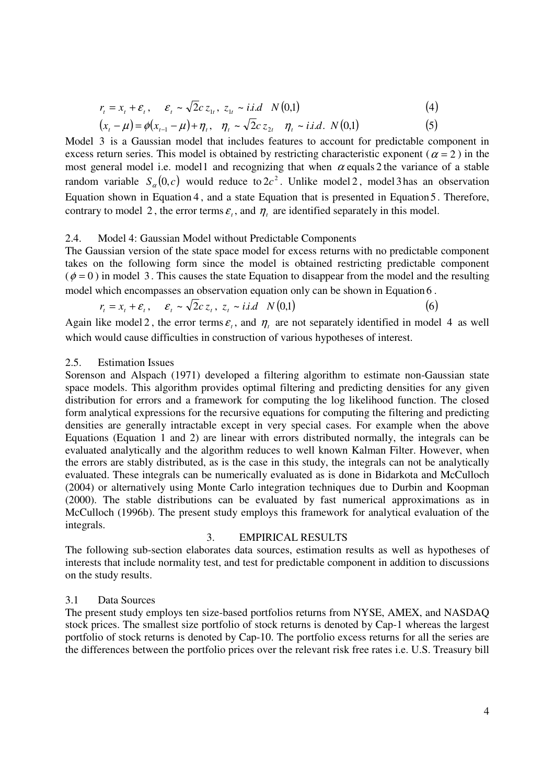$$
r_{t} = x_{t} + \varepsilon_{t}, \quad \varepsilon_{t} \sim \sqrt{2}c \, z_{1t}, \, z_{1t} \sim i.i.d \quad N(0,1) \tag{4}
$$

$$
(x_{t} - \mu) = \phi(x_{t-1} - \mu) + \eta_{t}, \quad \eta_{t} \sim \sqrt{2}cz_{2t} \quad \eta_{t} \sim i.i.d. \ N(0,1)
$$
 (5)

Model 3 is a Gaussian model that includes features to account for predictable component in excess return series. This model is obtained by restricting characteristic exponent ( $\alpha = 2$ ) in the most general model i.e. model1 and recognizing that when  $\alpha$  equals 2 the variance of a stable random variable  $S_{\alpha}(0, c)$  would reduce to  $2c^2$ . Unlike model 2, model 3 has an observation Equation shown in Equation 4 , and a state Equation that is presented in Equation 5 . Therefore, contrary to model 2, the error terms  $\varepsilon$ <sub>t</sub>, and  $\eta$ <sub>t</sub> are identified separately in this model.

#### 2.4. Model 4: Gaussian Model without Predictable Components

The Gaussian version of the state space model for excess returns with no predictable component takes on the following form since the model is obtained restricting predictable component  $(\phi = 0)$  in model 3. This causes the state Equation to disappear from the model and the resulting model which encompasses an observation equation only can be shown in Equation 6 .

$$
r_{t} = x_{t} + \varepsilon_{t}, \qquad \varepsilon_{t} \sim \sqrt{2}c \, z_{t}, \ z_{t} \sim i.i.d \quad N(0,1) \tag{6}
$$

Again like model 2, the error terms  $\varepsilon$ <sub>t</sub>, and  $\eta$ <sub>t</sub> are not separately identified in model 4 as well which would cause difficulties in construction of various hypotheses of interest.

### 2.5. Estimation Issues

Sorenson and Alspach (1971) developed a filtering algorithm to estimate non-Gaussian state space models. This algorithm provides optimal filtering and predicting densities for any given distribution for errors and a framework for computing the log likelihood function. The closed form analytical expressions for the recursive equations for computing the filtering and predicting densities are generally intractable except in very special cases. For example when the above Equations (Equation 1 and 2) are linear with errors distributed normally, the integrals can be evaluated analytically and the algorithm reduces to well known Kalman Filter. However, when the errors are stably distributed, as is the case in this study, the integrals can not be analytically evaluated. These integrals can be numerically evaluated as is done in Bidarkota and McCulloch (2004) or alternatively using Monte Carlo integration techniques due to Durbin and Koopman (2000). The stable distributions can be evaluated by fast numerical approximations as in McCulloch (1996b). The present study employs this framework for analytical evaluation of the integrals.

#### 3. EMPIRICAL RESULTS

The following sub-section elaborates data sources, estimation results as well as hypotheses of interests that include normality test, and test for predictable component in addition to discussions on the study results.

## 3.1 Data Sources

The present study employs ten size-based portfolios returns from NYSE, AMEX, and NASDAQ stock prices. The smallest size portfolio of stock returns is denoted by Cap-1 whereas the largest portfolio of stock returns is denoted by Cap-10. The portfolio excess returns for all the series are the differences between the portfolio prices over the relevant risk free rates i.e. U.S. Treasury bill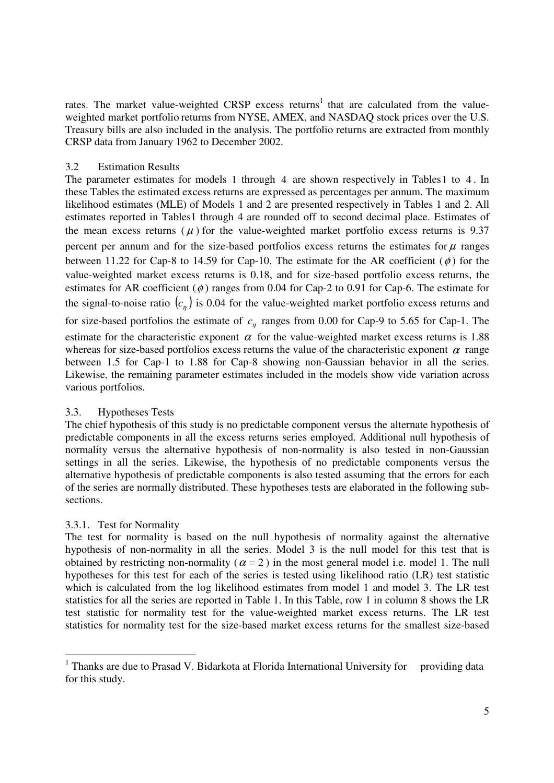rates. The market value-weighted CRSP excess returns<sup>1</sup> that are calculated from the valueweighted market portfolio returns from NYSE, AMEX, and NASDAQ stock prices over the U.S. Treasury bills are also included in the analysis. The portfolio returns are extracted from monthly CRSP data from January 1962 to December 2002.

## 3.2 Estimation Results

The parameter estimates for models 1 through 4 are shown respectively in Tables1 to 4 . In these Tables the estimated excess returns are expressed as percentages per annum. The maximum likelihood estimates (MLE) of Models 1 and 2 are presented respectively in Tables 1 and 2. All estimates reported in Tables1 through 4 are rounded off to second decimal place. Estimates of the mean excess returns ( $\mu$ ) for the value-weighted market portfolio excess returns is 9.37 percent per annum and for the size-based portfolios excess returns the estimates for  $\mu$  ranges between 11.22 for Cap-8 to 14.59 for Cap-10. The estimate for the AR coefficient ( $\phi$ ) for the value-weighted market excess returns is 0.18, and for size-based portfolio excess returns, the estimates for AR coefficient  $(\phi)$  ranges from 0.04 for Cap-2 to 0.91 for Cap-6. The estimate for the signal-to-noise ratio  $(c_n)$  is 0.04 for the value-weighted market portfolio excess returns and for size-based portfolios the estimate of  $c<sub>\eta</sub>$  ranges from 0.00 for Cap-9 to 5.65 for Cap-1. The estimate for the characteristic exponent  $\alpha$  for the value-weighted market excess returns is 1.88 whereas for size-based portfolios excess returns the value of the characteristic exponent  $\alpha$  range between 1.5 for Cap-1 to 1.88 for Cap-8 showing non-Gaussian behavior in all the series. Likewise, the remaining parameter estimates included in the models show vide variation across various portfolios.

## 3.3. Hypotheses Tests

The chief hypothesis of this study is no predictable component versus the alternate hypothesis of predictable components in all the excess returns series employed. Additional null hypothesis of normality versus the alternative hypothesis of non-normality is also tested in non-Gaussian settings in all the series. Likewise, the hypothesis of no predictable components versus the alternative hypothesis of predictable components is also tested assuming that the errors for each of the series are normally distributed. These hypotheses tests are elaborated in the following subsections.

## 3.3.1. Test for Normality

The test for normality is based on the null hypothesis of normality against the alternative hypothesis of non-normality in all the series. Model 3 is the null model for this test that is obtained by restricting non-normality ( $\alpha = 2$ ) in the most general model i.e. model 1. The null hypotheses for this test for each of the series is tested using likelihood ratio (LR) test statistic which is calculated from the log likelihood estimates from model 1 and model 3. The LR test statistics for all the series are reported in Table 1. In this Table, row 1 in column 8 shows the LR test statistic for normality test for the value-weighted market excess returns. The LR test statistics for normality test for the size-based market excess returns for the smallest size-based

<sup>&</sup>lt;sup>1</sup> Thanks are due to Prasad V. Bidarkota at Florida International University for providing data for this study.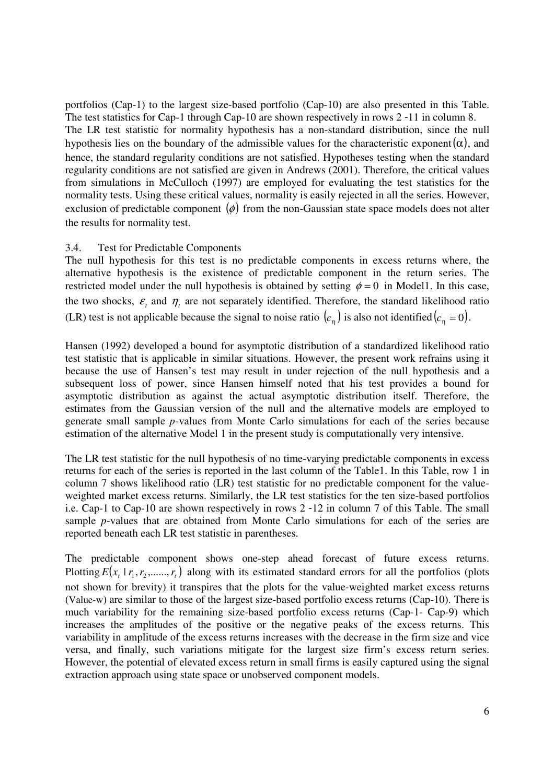portfolios (Cap-1) to the largest size-based portfolio (Cap-10) are also presented in this Table. The test statistics for Cap-1 through Cap-10 are shown respectively in rows 2 -11 in column 8. The LR test statistic for normality hypothesis has a non-standard distribution, since the null hypothesis lies on the boundary of the admissible values for the characteristic exponent  $(\alpha)$ , and hence, the standard regularity conditions are not satisfied. Hypotheses testing when the standard regularity conditions are not satisfied are given in Andrews (2001). Therefore, the critical values from simulations in McCulloch (1997) are employed for evaluating the test statistics for the normality tests. Using these critical values, normality is easily rejected in all the series. However, exclusion of predictable component  $(\phi)$  from the non-Gaussian state space models does not alter the results for normality test.

## 3.4. Test for Predictable Components

The null hypothesis for this test is no predictable components in excess returns where, the alternative hypothesis is the existence of predictable component in the return series. The restricted model under the null hypothesis is obtained by setting  $\phi = 0$  in Model1. In this case, the two shocks,  $\varepsilon$ <sub>t</sub> and  $\eta$ <sub>t</sub> are not separately identified. Therefore, the standard likelihood ratio (LR) test is not applicable because the signal to noise ratio  $(c_n)$  is also not identified  $(c_n = 0)$ .

Hansen (1992) developed a bound for asymptotic distribution of a standardized likelihood ratio test statistic that is applicable in similar situations. However, the present work refrains using it because the use of Hansen's test may result in under rejection of the null hypothesis and a subsequent loss of power, since Hansen himself noted that his test provides a bound for asymptotic distribution as against the actual asymptotic distribution itself. Therefore, the estimates from the Gaussian version of the null and the alternative models are employed to generate small sample *p*-values from Monte Carlo simulations for each of the series because estimation of the alternative Model 1 in the present study is computationally very intensive.

The LR test statistic for the null hypothesis of no time-varying predictable components in excess returns for each of the series is reported in the last column of the Table1. In this Table, row 1 in column 7 shows likelihood ratio (LR) test statistic for no predictable component for the valueweighted market excess returns. Similarly, the LR test statistics for the ten size-based portfolios i.e. Cap-1 to Cap-10 are shown respectively in rows 2 -12 in column 7 of this Table. The small sample *p*-values that are obtained from Monte Carlo simulations for each of the series are reported beneath each LR test statistic in parentheses.

The predictable component shows one-step ahead forecast of future excess returns. Plotting  $E(x_t | r_1, r_2, \ldots, r_t)$  along with its estimated standard errors for all the portfolios (plots not shown for brevity) it transpires that the plots for the value-weighted market excess returns (Value-w) are similar to those of the largest size-based portfolio excess returns (Cap-10). There is much variability for the remaining size-based portfolio excess returns (Cap-1- Cap-9) which increases the amplitudes of the positive or the negative peaks of the excess returns. This variability in amplitude of the excess returns increases with the decrease in the firm size and vice versa, and finally, such variations mitigate for the largest size firm's excess return series. However, the potential of elevated excess return in small firms is easily captured using the signal extraction approach using state space or unobserved component models.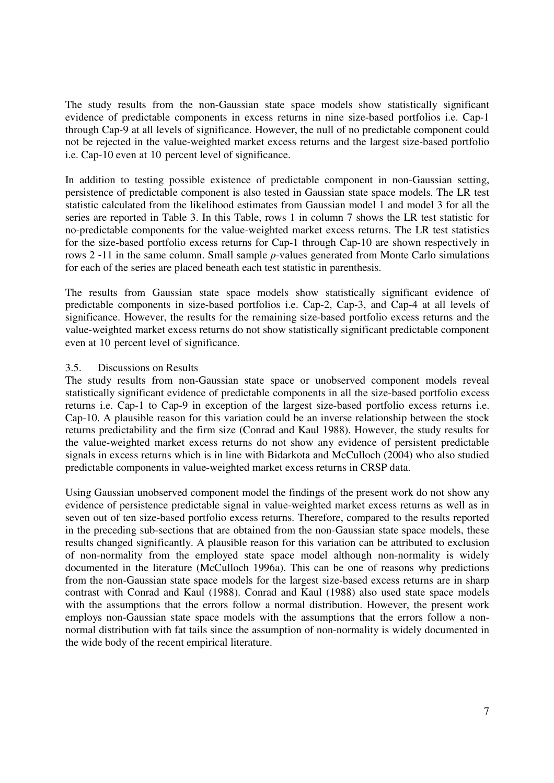The study results from the non-Gaussian state space models show statistically significant evidence of predictable components in excess returns in nine size-based portfolios i.e. Cap-1 through Cap-9 at all levels of significance. However, the null of no predictable component could not be rejected in the value-weighted market excess returns and the largest size-based portfolio i.e. Cap-10 even at 10 percent level of significance.

In addition to testing possible existence of predictable component in non-Gaussian setting, persistence of predictable component is also tested in Gaussian state space models. The LR test statistic calculated from the likelihood estimates from Gaussian model 1 and model 3 for all the series are reported in Table 3. In this Table, rows 1 in column 7 shows the LR test statistic for no-predictable components for the value-weighted market excess returns. The LR test statistics for the size-based portfolio excess returns for Cap-1 through Cap-10 are shown respectively in rows 2 -11 in the same column. Small sample *p*-values generated from Monte Carlo simulations for each of the series are placed beneath each test statistic in parenthesis.

The results from Gaussian state space models show statistically significant evidence of predictable components in size-based portfolios i.e. Cap-2, Cap-3, and Cap-4 at all levels of significance. However, the results for the remaining size-based portfolio excess returns and the value-weighted market excess returns do not show statistically significant predictable component even at 10 percent level of significance.

## 3.5. Discussions on Results

The study results from non-Gaussian state space or unobserved component models reveal statistically significant evidence of predictable components in all the size-based portfolio excess returns i.e. Cap-1 to Cap-9 in exception of the largest size-based portfolio excess returns i.e. Cap-10. A plausible reason for this variation could be an inverse relationship between the stock returns predictability and the firm size (Conrad and Kaul 1988). However, the study results for the value-weighted market excess returns do not show any evidence of persistent predictable signals in excess returns which is in line with Bidarkota and McCulloch (2004) who also studied predictable components in value-weighted market excess returns in CRSP data.

Using Gaussian unobserved component model the findings of the present work do not show any evidence of persistence predictable signal in value-weighted market excess returns as well as in seven out of ten size-based portfolio excess returns. Therefore, compared to the results reported in the preceding sub-sections that are obtained from the non-Gaussian state space models, these results changed significantly. A plausible reason for this variation can be attributed to exclusion of non-normality from the employed state space model although non-normality is widely documented in the literature (McCulloch 1996a). This can be one of reasons why predictions from the non-Gaussian state space models for the largest size-based excess returns are in sharp contrast with Conrad and Kaul (1988). Conrad and Kaul (1988) also used state space models with the assumptions that the errors follow a normal distribution. However, the present work employs non-Gaussian state space models with the assumptions that the errors follow a nonnormal distribution with fat tails since the assumption of non-normality is widely documented in the wide body of the recent empirical literature.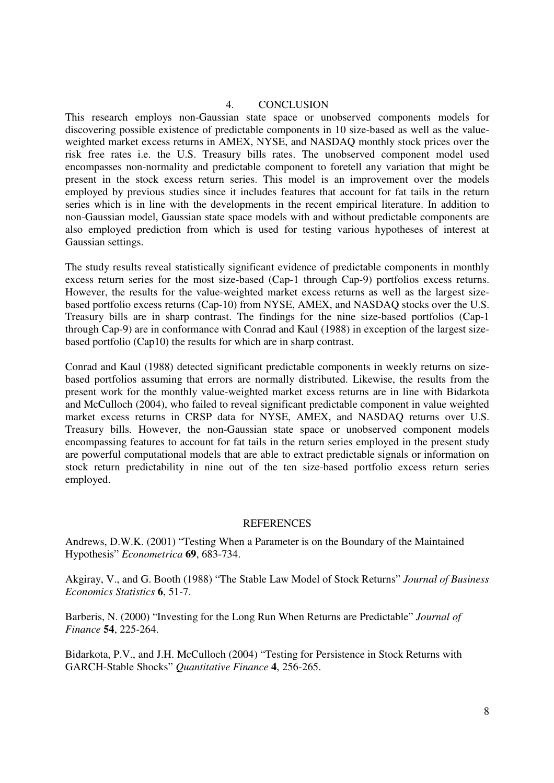#### 4. CONCLUSION

This research employs non-Gaussian state space or unobserved components models for discovering possible existence of predictable components in 10 size-based as well as the valueweighted market excess returns in AMEX, NYSE, and NASDAQ monthly stock prices over the risk free rates i.e. the U.S. Treasury bills rates. The unobserved component model used encompasses non-normality and predictable component to foretell any variation that might be present in the stock excess return series. This model is an improvement over the models employed by previous studies since it includes features that account for fat tails in the return series which is in line with the developments in the recent empirical literature. In addition to non-Gaussian model, Gaussian state space models with and without predictable components are also employed prediction from which is used for testing various hypotheses of interest at Gaussian settings.

The study results reveal statistically significant evidence of predictable components in monthly excess return series for the most size-based (Cap-1 through Cap-9) portfolios excess returns. However, the results for the value-weighted market excess returns as well as the largest sizebased portfolio excess returns (Cap-10) from NYSE, AMEX, and NASDAQ stocks over the U.S. Treasury bills are in sharp contrast. The findings for the nine size-based portfolios (Cap-1 through Cap-9) are in conformance with Conrad and Kaul (1988) in exception of the largest sizebased portfolio (Cap10) the results for which are in sharp contrast.

Conrad and Kaul (1988) detected significant predictable components in weekly returns on sizebased portfolios assuming that errors are normally distributed. Likewise, the results from the present work for the monthly value-weighted market excess returns are in line with Bidarkota and McCulloch (2004), who failed to reveal significant predictable component in value weighted market excess returns in CRSP data for NYSE, AMEX, and NASDAQ returns over U.S. Treasury bills. However, the non-Gaussian state space or unobserved component models encompassing features to account for fat tails in the return series employed in the present study are powerful computational models that are able to extract predictable signals or information on stock return predictability in nine out of the ten size-based portfolio excess return series employed.

#### **REFERENCES**

Andrews, D.W.K. (2001) "Testing When a Parameter is on the Boundary of the Maintained Hypothesis" *Econometrica* **69**, 683-734.

Akgiray, V., and G. Booth (1988) "The Stable Law Model of Stock Returns" *Journal of Business Economics Statistics* **6**, 51-7.

Barberis, N. (2000) "Investing for the Long Run When Returns are Predictable" *Journal of Finance* **54**, 225-264.

Bidarkota, P.V., and J.H. McCulloch (2004) "Testing for Persistence in Stock Returns with GARCH-Stable Shocks" *Quantitative Finance* **4**, 256-265.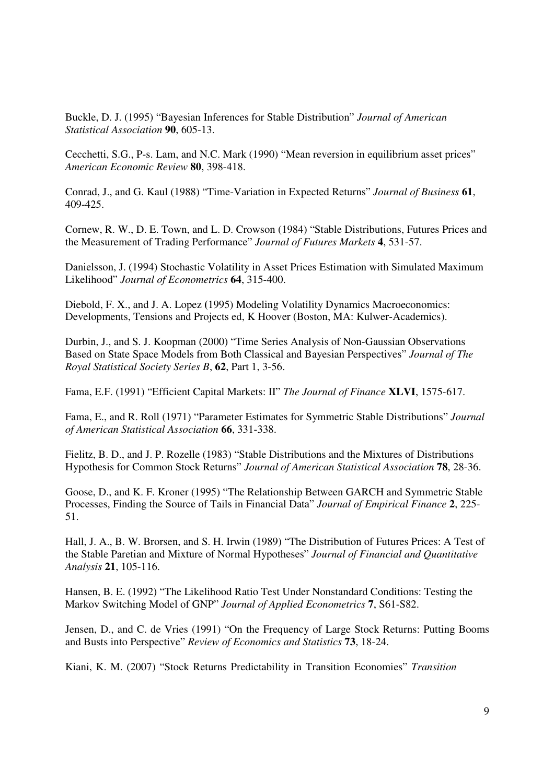Buckle, D. J. (1995) "Bayesian Inferences for Stable Distribution" *Journal of American Statistical Association* **90**, 605-13.

Cecchetti, S.G., P-s. Lam, and N.C. Mark (1990) "Mean reversion in equilibrium asset prices" *American Economic Review* **80**, 398-418.

Conrad, J., and G. Kaul (1988) "Time-Variation in Expected Returns" *Journal of Business* **61**, 409-425.

Cornew, R. W., D. E. Town, and L. D. Crowson (1984) "Stable Distributions, Futures Prices and the Measurement of Trading Performance" *Journal of Futures Markets* **4**, 531-57.

Danielsson, J. (1994) Stochastic Volatility in Asset Prices Estimation with Simulated Maximum Likelihood" *Journal of Econometrics* **64**, 315-400.

Diebold, F. X., and J. A. Lopez **(**1995) Modeling Volatility Dynamics Macroeconomics: Developments, Tensions and Projects ed, K Hoover (Boston, MA: Kulwer-Academics).

Durbin, J., and S. J. Koopman (2000) "Time Series Analysis of Non-Gaussian Observations Based on State Space Models from Both Classical and Bayesian Perspectives" *Journal of The Royal Statistical Society Series B*, **62**, Part 1, 3-56.

Fama, E.F. (1991) "Efficient Capital Markets: II" *The Journal of Finance* **XLVI**, 1575-617.

Fama, E., and R. Roll (1971) "Parameter Estimates for Symmetric Stable Distributions" *Journal of American Statistical Association* **66**, 331-338.

Fielitz, B. D., and J. P. Rozelle (1983) "Stable Distributions and the Mixtures of Distributions Hypothesis for Common Stock Returns" *Journal of American Statistical Association* **78**, 28-36.

Goose, D., and K. F. Kroner (1995) "The Relationship Between GARCH and Symmetric Stable Processes, Finding the Source of Tails in Financial Data" *Journal of Empirical Finance* **2**, 225- 51.

Hall, J. A., B. W. Brorsen, and S. H. Irwin (1989) "The Distribution of Futures Prices: A Test of the Stable Paretian and Mixture of Normal Hypotheses" *Journal of Financial and Quantitative Analysis* **21**, 105-116.

Hansen, B. E. (1992) "The Likelihood Ratio Test Under Nonstandard Conditions: Testing the Markov Switching Model of GNP" *Journal of Applied Econometrics* **7**, S61-S82.

Jensen, D., and C. de Vries (1991) "On the Frequency of Large Stock Returns: Putting Booms and Busts into Perspective" *Review of Economics and Statistics* **73**, 18-24.

Kiani, K. M. (2007) "Stock Returns Predictability in Transition Economies" *Transition*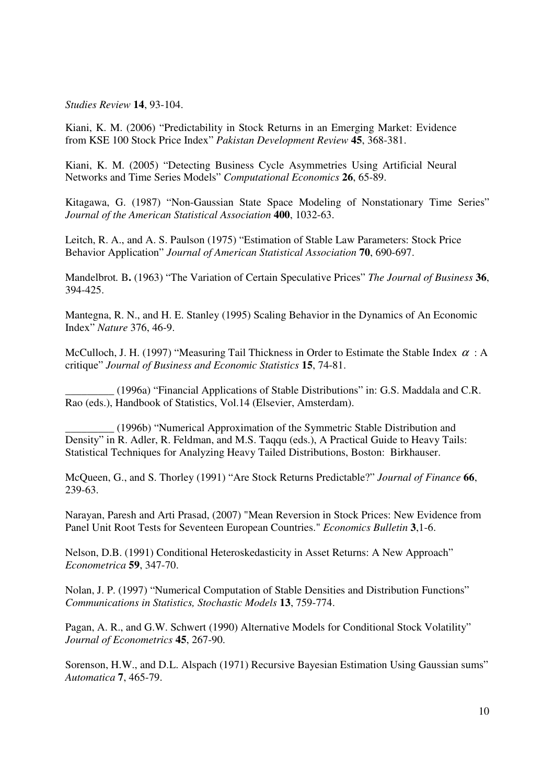*Studies Review* **14**, 93-104.

Kiani, K. M. (2006) "Predictability in Stock Returns in an Emerging Market: Evidence from KSE 100 Stock Price Index" *Pakistan Development Review* **45**, 368-381.

Kiani, K. M. (2005) "Detecting Business Cycle Asymmetries Using Artificial Neural Networks and Time Series Models" *Computational Economics* **26**, 65-89.

Kitagawa, G. (1987) "Non-Gaussian State Space Modeling of Nonstationary Time Series" *Journal of the American Statistical Association* **400**, 1032-63.

Leitch, R. A., and A. S. Paulson (1975) "Estimation of Stable Law Parameters: Stock Price Behavior Application" *Journal of American Statistical Association* **70**, 690-697.

Mandelbrot*.* B**.** (1963) "The Variation of Certain Speculative Prices" *The Journal of Business* **36**, 394-425.

Mantegna, R. N., and H. E. Stanley (1995) Scaling Behavior in the Dynamics of An Economic Index" *Nature* 376, 46-9.

McCulloch, J. H. (1997) "Measuring Tail Thickness in Order to Estimate the Stable Index  $\alpha : A$ critique" *Journal of Business and Economic Statistics* **15**, 74-81.

**\_\_\_\_\_\_\_\_\_** (1996a) "Financial Applications of Stable Distributions" in: G.S. Maddala and C.R. Rao (eds.), Handbook of Statistics, Vol.14 (Elsevier, Amsterdam).

**\_\_\_\_\_\_\_\_\_** (1996b) "Numerical Approximation of the Symmetric Stable Distribution and Density" in R. Adler, R. Feldman, and M.S. Taqqu (eds.), A Practical Guide to Heavy Tails: Statistical Techniques for Analyzing Heavy Tailed Distributions, Boston: Birkhauser.

McQueen, G., and S. Thorley (1991) "Are Stock Returns Predictable?" *Journal of Finance* **66**, 239-63.

Narayan, Paresh and Arti Prasad, (2007) "Mean Reversion in Stock Prices: New Evidence from Panel Unit Root Tests for Seventeen European Countries." *Economics Bulletin* **3**,1-6.

Nelson, D.B. (1991) Conditional Heteroskedasticity in Asset Returns: A New Approach" *Econometrica* **59**, 347-70.

Nolan, J. P. (1997) "Numerical Computation of Stable Densities and Distribution Functions" *Communications in Statistics, Stochastic Models* **13**, 759-774.

Pagan, A. R., and G.W. Schwert (1990) Alternative Models for Conditional Stock Volatility" *Journal of Econometrics* **45**, 267-90.

Sorenson, H.W., and D.L. Alspach (1971) Recursive Bayesian Estimation Using Gaussian sums" *Automatica* **7**, 465-79.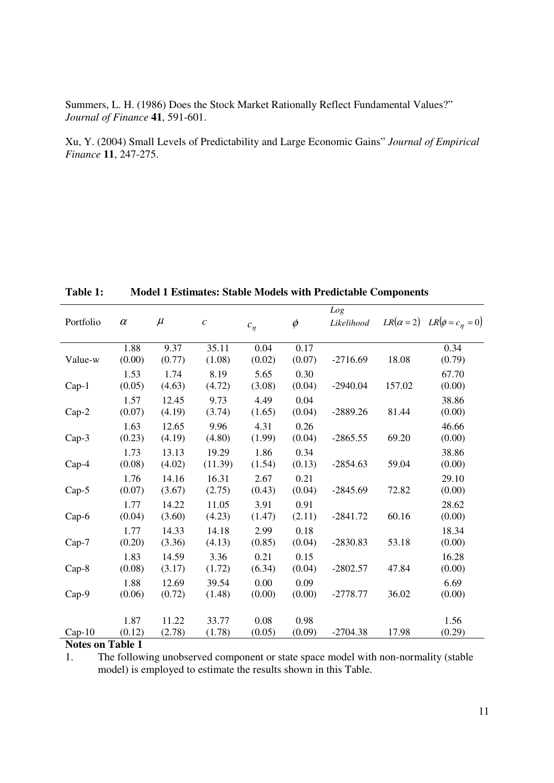Summers, L. H. (1986) Does the Stock Market Rationally Reflect Fundamental Values?" *Journal of Finance* **41**, 591-601.

Xu, Y. (2004) Small Levels of Predictability and Large Economic Gains" *Journal of Empirical Finance* **11**, 247-275.

| Portfolio | $\alpha$       | $\mu$           | $\mathcal{C}$    | $c_{\eta}$     | $\phi$         | Log<br>Likelihood |        | $LR(\alpha=2)$ $LR(\phi=c_n=0)$ |
|-----------|----------------|-----------------|------------------|----------------|----------------|-------------------|--------|---------------------------------|
| Value-w   | 1.88<br>(0.00) | 9.37<br>(0.77)  | 35.11<br>(1.08)  | 0.04<br>(0.02) | 0.17<br>(0.07) | $-2716.69$        | 18.08  | 0.34<br>(0.79)                  |
| $Cap-1$   | 1.53<br>(0.05) | 1.74<br>(4.63)  | 8.19<br>(4.72)   | 5.65<br>(3.08) | 0.30<br>(0.04) | $-2940.04$        | 157.02 | 67.70<br>(0.00)                 |
| $Cap-2$   | 1.57<br>(0.07) | 12.45<br>(4.19) | 9.73<br>(3.74)   | 4.49<br>(1.65) | 0.04<br>(0.04) | $-2889.26$        | 81.44  | 38.86<br>(0.00)                 |
| $Cap-3$   | 1.63<br>(0.23) | 12.65<br>(4.19) | 9.96<br>(4.80)   | 4.31<br>(1.99) | 0.26<br>(0.04) | $-2865.55$        | 69.20  | 46.66<br>(0.00)                 |
| $Cap-4$   | 1.73<br>(0.08) | 13.13<br>(4.02) | 19.29<br>(11.39) | 1.86<br>(1.54) | 0.34<br>(0.13) | $-2854.63$        | 59.04  | 38.86<br>(0.00)                 |
| $Cap-5$   | 1.76<br>(0.07) | 14.16<br>(3.67) | 16.31<br>(2.75)  | 2.67<br>(0.43) | 0.21<br>(0.04) | $-2845.69$        | 72.82  | 29.10<br>(0.00)                 |
| $Cap-6$   | 1.77<br>(0.04) | 14.22<br>(3.60) | 11.05<br>(4.23)  | 3.91<br>(1.47) | 0.91<br>(2.11) | $-2841.72$        | 60.16  | 28.62<br>(0.00)                 |
| $Cap-7$   | 1.77<br>(0.20) | 14.33<br>(3.36) | 14.18<br>(4.13)  | 2.99<br>(0.85) | 0.18<br>(0.04) | $-2830.83$        | 53.18  | 18.34<br>(0.00)                 |
| $Cap-8$   | 1.83<br>(0.08) | 14.59<br>(3.17) | 3.36<br>(1.72)   | 0.21<br>(6.34) | 0.15<br>(0.04) | $-2802.57$        | 47.84  | 16.28<br>(0.00)                 |
| Cap-9     | 1.88<br>(0.06) | 12.69<br>(0.72) | 39.54<br>(1.48)  | 0.00<br>(0.00) | 0.09<br>(0.00) | $-2778.77$        | 36.02  | 6.69<br>(0.00)                  |
| $Cap-10$  | 1.87<br>(0.12) | 11.22<br>(2.78) | 33.77<br>(1.78)  | 0.08<br>(0.05) | 0.98<br>(0.09) | $-2704.38$        | 17.98  | 1.56<br>(0.29)                  |

**Table 1: Model 1 Estimates: Stable Models with Predictable Components** 

#### **Notes on Table 1**

1. The following unobserved component or state space model with non-normality (stable model) is employed to estimate the results shown in this Table.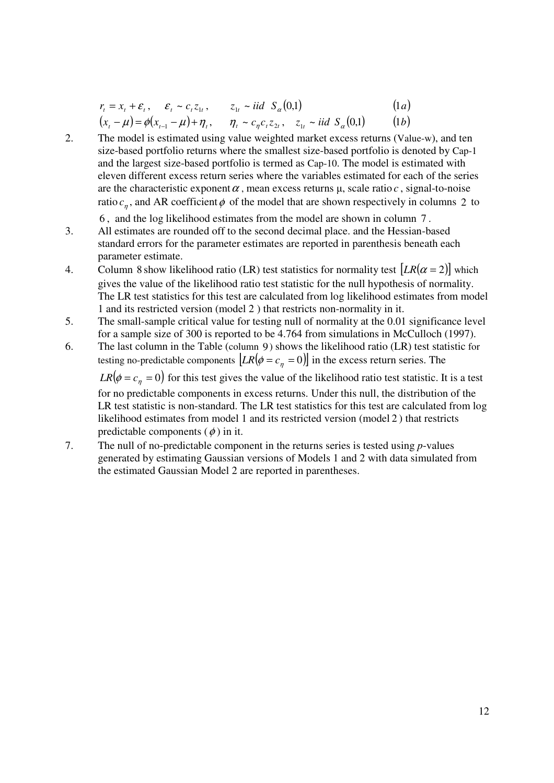$$
r_{t} = x_{t} + \varepsilon_{t}, \quad \varepsilon_{t} \sim c_{t} z_{1t}, \quad z_{1t} \sim \text{iid } S_{\alpha}(0,1) \tag{1a}
$$
  

$$
(x_{t} - \mu) = \phi(x_{t-1} - \mu) + \eta_{t}, \quad \eta_{t} \sim c_{\eta} c_{t} z_{2t}, \quad z_{1t} \sim \text{iid } S_{\alpha}(0,1) \tag{1b}
$$

2. The model is estimated using value weighted market excess returns (Value-w), and ten size-based portfolio returns where the smallest size-based portfolio is denoted by Cap-1 and the largest size-based portfolio is termed as Cap-10. The model is estimated with eleven different excess return series where the variables estimated for each of the series are the characteristic exponent  $\alpha$ , mean excess returns  $\mu$ , scale ratio  $c$ , signal-to-noise ratio  $c_n$ , and AR coefficient  $\phi$  of the model that are shown respectively in columns 2 to

6 , and the log likelihood estimates from the model are shown in column 7 .

- 3. All estimates are rounded off to the second decimal place. and the Hessian-based standard errors for the parameter estimates are reported in parenthesis beneath each parameter estimate.
- 4. Column 8 show likelihood ratio (LR) test statistics for normality test  $[LR(\alpha = 2)]$  which gives the value of the likelihood ratio test statistic for the null hypothesis of normality. The LR test statistics for this test are calculated from log likelihood estimates from model 1 and its restricted version (model 2 ) that restricts non-normality in it.
- 5. The small-sample critical value for testing null of normality at the 0.01 significance level for a sample size of 300 is reported to be 4.764 from simulations in McCulloch (1997).
- 6. The last column in the Table (column 9) shows the likelihood ratio (LR) test statistic for testing no-predictable components  $[LR(\phi = c_n = 0)]$  in the excess return series. The

 $LR(\phi = c_n = 0)$  for this test gives the value of the likelihood ratio test statistic. It is a test

for no predictable components in excess returns. Under this null, the distribution of the LR test statistic is non-standard. The LR test statistics for this test are calculated from log likelihood estimates from model 1 and its restricted version (model 2 ) that restricts predictable components  $(\phi)$  in it.

7. The null of no-predictable component in the returns series is tested using *p*-values generated by estimating Gaussian versions of Models 1 and 2 with data simulated from the estimated Gaussian Model 2 are reported in parentheses.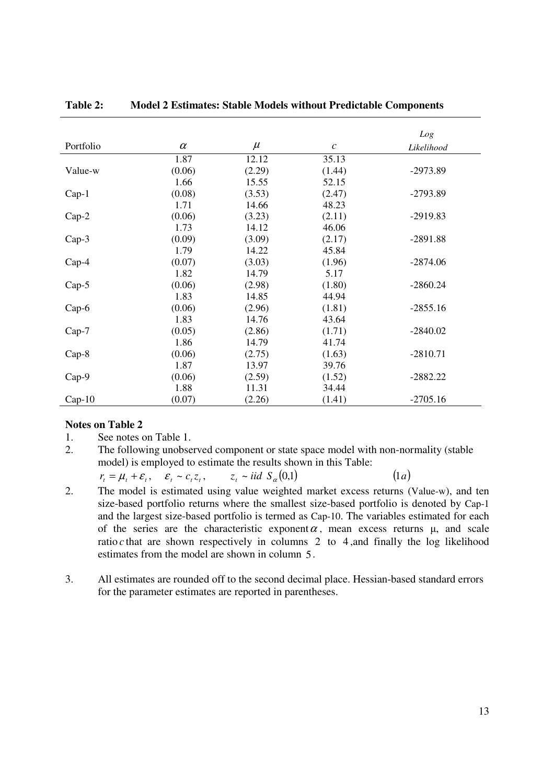|           |          |        |                       | Log        |
|-----------|----------|--------|-----------------------|------------|
| Portfolio | $\alpha$ | $\mu$  | $\mathcal{C}_{0}^{0}$ | Likelihood |
|           | 1.87     | 12.12  | 35.13                 |            |
| Value-w   | (0.06)   | (2.29) | (1.44)                | $-2973.89$ |
|           | 1.66     | 15.55  | 52.15                 |            |
| $Cap-1$   | (0.08)   | (3.53) | (2.47)                | $-2793.89$ |
|           | 1.71     | 14.66  | 48.23                 |            |
| $Cap-2$   | (0.06)   | (3.23) | (2.11)                | $-2919.83$ |
|           | 1.73     | 14.12  | 46.06                 |            |
| Cap-3     | (0.09)   | (3.09) | (2.17)                | $-2891.88$ |
|           | 1.79     | 14.22  | 45.84                 |            |
| $Cap-4$   | (0.07)   | (3.03) | (1.96)                | $-2874.06$ |
|           | 1.82     | 14.79  | 5.17                  |            |
| $Cap-5$   | (0.06)   | (2.98) | (1.80)                | $-2860.24$ |
|           | 1.83     | 14.85  | 44.94                 |            |
| $Cap-6$   | (0.06)   | (2.96) | (1.81)                | $-2855.16$ |
|           | 1.83     | 14.76  | 43.64                 |            |
| $Cap-7$   | (0.05)   | (2.86) | (1.71)                | $-2840.02$ |
|           | 1.86     | 14.79  | 41.74                 |            |
| Cap-8     | (0.06)   | (2.75) | (1.63)                | $-2810.71$ |
|           | 1.87     | 13.97  | 39.76                 |            |
| $Cap-9$   | (0.06)   | (2.59) | (1.52)                | $-2882.22$ |
|           | 1.88     | 11.31  | 34.44                 |            |
| $Cap-10$  | (0.07)   | (2.26) | (1.41)                | $-2705.16$ |

### **Table 2: Model 2 Estimates: Stable Models without Predictable Components**

#### **Notes on Table 2**

1. See notes on Table 1.

2. The following unobserved component or state space model with non-normality (stable model) is employed to estimate the results shown in this Table:

 $r_t = \mu_t + \varepsilon_t$ ,  $\varepsilon_t \sim c_t z_t$  $\varepsilon_t \sim c_t z_t$ ,  $z_t \sim \textit{iid } S_\alpha(0,1)$  $(1a)$ 

- 2. The model is estimated using value weighted market excess returns (Value-w), and ten size-based portfolio returns where the smallest size-based portfolio is denoted by Cap-1 and the largest size-based portfolio is termed as Cap-10. The variables estimated for each of the series are the characteristic exponent  $\alpha$ , mean excess returns  $\mu$ , and scale ratio  $c$  that are shown respectively in columns 2 to 4, and finally the log likelihood estimates from the model are shown in column 5.
- 3. All estimates are rounded off to the second decimal place. Hessian-based standard errors for the parameter estimates are reported in parentheses.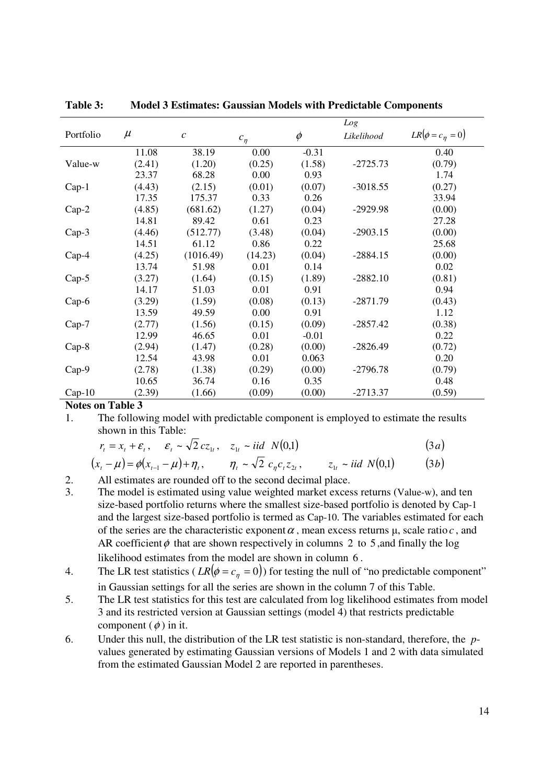|           |        |               |            | Log     |            |                      |
|-----------|--------|---------------|------------|---------|------------|----------------------|
| Portfolio | $\mu$  | $\mathcal{C}$ | $c_{\eta}$ | $\phi$  | Likelihood | $LR[\phi = c_n = 0]$ |
|           | 11.08  | 38.19         | 0.00       | $-0.31$ |            | 0.40                 |
| Value-w   | (2.41) | (1.20)        | (0.25)     | (1.58)  | $-2725.73$ | (0.79)               |
|           | 23.37  | 68.28         | 0.00       | 0.93    |            | 1.74                 |
| $Cap-1$   | (4.43) | (2.15)        | (0.01)     | (0.07)  | $-3018.55$ | (0.27)               |
|           | 17.35  | 175.37        | 0.33       | 0.26    |            | 33.94                |
| $Cap-2$   | (4.85) | (681.62)      | (1.27)     | (0.04)  | $-2929.98$ | (0.00)               |
|           | 14.81  | 89.42         | 0.61       | 0.23    |            | 27.28                |
| $Cap-3$   | (4.46) | (512.77)      | (3.48)     | (0.04)  | $-2903.15$ | (0.00)               |
|           | 14.51  | 61.12         | 0.86       | 0.22    |            | 25.68                |
| $Cap-4$   | (4.25) | (1016.49)     | (14.23)    | (0.04)  | $-2884.15$ | (0.00)               |
|           | 13.74  | 51.98         | 0.01       | 0.14    |            | 0.02                 |
| $Cap-5$   | (3.27) | (1.64)        | (0.15)     | (1.89)  | $-2882.10$ | (0.81)               |
|           | 14.17  | 51.03         | 0.01       | 0.91    |            | 0.94                 |
| $Cap-6$   | (3.29) | (1.59)        | (0.08)     | (0.13)  | $-2871.79$ | (0.43)               |
|           | 13.59  | 49.59         | 0.00       | 0.91    |            | 1.12                 |
| $Cap-7$   | (2.77) | (1.56)        | (0.15)     | (0.09)  | $-2857.42$ | (0.38)               |
|           | 12.99  | 46.65         | 0.01       | $-0.01$ |            | 0.22                 |
| $Cap-8$   | (2.94) | (1.47)        | (0.28)     | (0.00)  | $-2826.49$ | (0.72)               |
|           | 12.54  | 43.98         | 0.01       | 0.063   |            | 0.20                 |
| $Cap-9$   | (2.78) | (1.38)        | (0.29)     | (0.00)  | $-2796.78$ | (0.79)               |
|           | 10.65  | 36.74         | 0.16       | 0.35    |            | 0.48                 |
| $Cap-10$  | (2.39) | (1.66)        | (0.09)     | (0.00)  | $-2713.37$ | (0.59)               |

**Table 3: Model 3 Estimates: Gaussian Models with Predictable Components** 

**Notes on Table 3** 

1. The following model with predictable component is employed to estimate the results shown in this Table:

$$
r_t = x_t + \varepsilon_t, \quad \varepsilon_t \sim \sqrt{2} c z_{1t}, \quad z_{1t} \sim \text{iid } N(0,1) \tag{3a}
$$

$$
(x_{t} - \mu) = \phi(x_{t-1} - \mu) + \eta_{t}, \qquad \eta_{t} \sim \sqrt{2} \ c_{\eta} c_{t} z_{2t}, \qquad z_{1t} \sim \text{iid } N(0,1) \tag{3b}
$$

2. All estimates are rounded off to the second decimal place.

- 3. The model is estimated using value weighted market excess returns (Value-w), and ten size-based portfolio returns where the smallest size-based portfolio is denoted by Cap-1 and the largest size-based portfolio is termed as Cap-10. The variables estimated for each of the series are the characteristic exponent  $\alpha$ , mean excess returns  $\mu$ , scale ratio  $c$ , and AR coefficient  $\phi$  that are shown respectively in columns 2 to 5, and finally the log likelihood estimates from the model are shown in column 6 .
- 4. The LR test statistics ( $LR(\phi = c_n = 0)$ ) for testing the null of "no predictable component" in Gaussian settings for all the series are shown in the column 7 of this Table.
- 5. The LR test statistics for this test are calculated from log likelihood estimates from model 3 and its restricted version at Gaussian settings (model 4) that restricts predictable component  $(\phi)$  in it.
- 6. Under this null, the distribution of the LR test statistic is non-standard, therefore, the *p*values generated by estimating Gaussian versions of Models 1 and 2 with data simulated from the estimated Gaussian Model 2 are reported in parentheses.